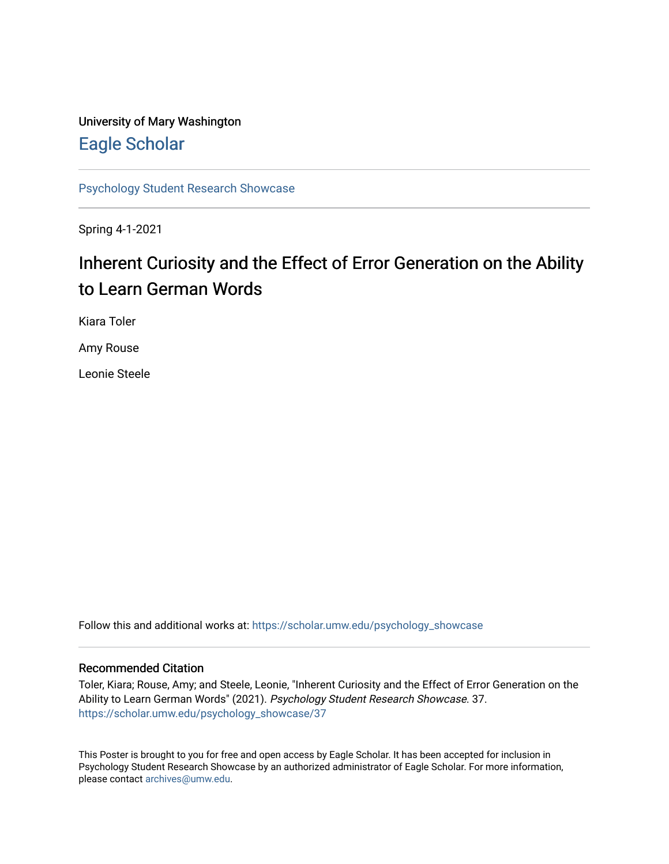#### University of Mary Washington [Eagle Scholar](https://scholar.umw.edu/)

[Psychology Student Research Showcase](https://scholar.umw.edu/psychology_showcase)

Spring 4-1-2021

#### Inherent Curiosity and the Effect of Error Generation on the Ability to Learn German Words

Kiara Toler

Amy Rouse

Leonie Steele

Follow this and additional works at: [https://scholar.umw.edu/psychology\\_showcase](https://scholar.umw.edu/psychology_showcase?utm_source=scholar.umw.edu%2Fpsychology_showcase%2F37&utm_medium=PDF&utm_campaign=PDFCoverPages)

#### Recommended Citation

Toler, Kiara; Rouse, Amy; and Steele, Leonie, "Inherent Curiosity and the Effect of Error Generation on the Ability to Learn German Words" (2021). Psychology Student Research Showcase. 37. [https://scholar.umw.edu/psychology\\_showcase/37](https://scholar.umw.edu/psychology_showcase/37?utm_source=scholar.umw.edu%2Fpsychology_showcase%2F37&utm_medium=PDF&utm_campaign=PDFCoverPages) 

This Poster is brought to you for free and open access by Eagle Scholar. It has been accepted for inclusion in Psychology Student Research Showcase by an authorized administrator of Eagle Scholar. For more information, please contact [archives@umw.edu.](mailto:archives@umw.edu)